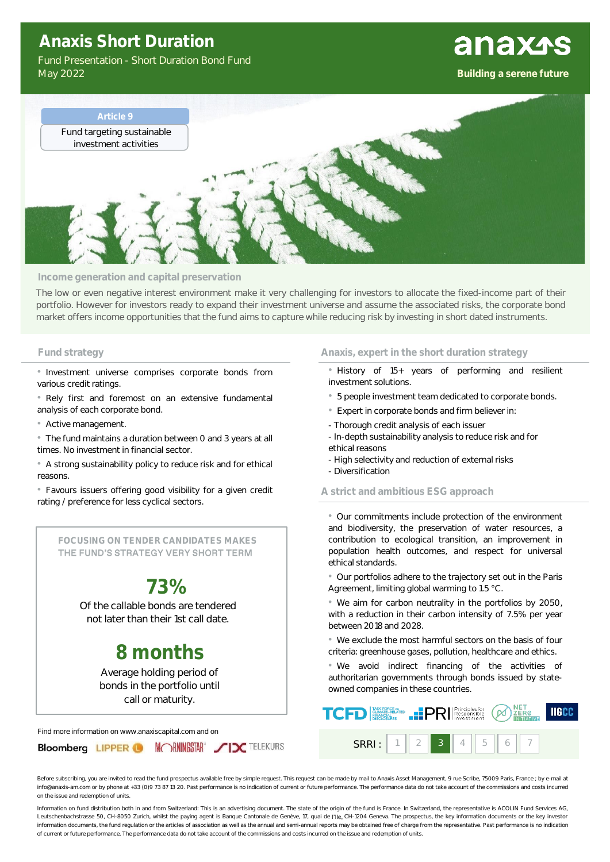## **Anaxis Short Duration**

Fund Presentation - Short Duration Bond Fund May 2022

### **Building a serene future**

**anaxss** 



#### **Income generation and capital preservation**

The low or even negative interest environment make it very challenging for investors to allocate the fixed-income part of their portfolio. However for investors ready to expand their investment universe and assume the associated risks, the corporate bond market offers income opportunities that the fund aims to capture while reducing risk by investing in short dated instruments.

• Investment universe comprises corporate bonds from various credit ratings.

• Rely first and foremost on an extensive fundamental analysis of each corporate bond.

• Active management.

• The fund maintains a duration between 0 and 3 years at all times. No investment in financial sector.

• A strong sustainability policy to reduce risk and for ethical reasons.

• Favours issuers offering good visibility for a given credit rating / preference for less cyclical sectors.

**FOCUSING ON TENDER CANDIDATES MAKES**  THE FUND'S STRATEGY VERY SHORT TERM

# **73%**

Of the callable bonds are tendered not later than their 1st call date.

## **8 months**

Average holding period of bonds in the portfolio until call or maturity.

Find more information on www.anaxiscapital.com and on



### **Fund strategy Anaxis, expert in the short duration strategy Anaxis, expert in the short duration strategy**

- History of 15+ years of performing and resilient investment solutions.
- 5 people investment team dedicated to corporate bonds.
- Expert in corporate bonds and firm believer in:
- Thorough credit analysis of each issuer
- In-depth sustainability analysis to reduce risk and for
- ethical reasons
- High selectivity and reduction of external risks
- Diversification

#### **A strict and ambitious ESG approach**

• Our commitments include protection of the environment and biodiversity, the preservation of water resources, a contribution to ecological transition, an improvement in population health outcomes, and respect for universal ethical standards.

• Our portfolios adhere to the trajectory set out in the Paris Agreement, limiting global warming to 1.5 °C.

• We aim for carbon neutrality in the portfolios by 2050, with a reduction in their carbon intensity of 7.5% per year between 2018 and 2028.

• We exclude the most harmful sectors on the basis of four criteria: greenhouse gases, pollution, healthcare and ethics.

• We avoid indirect financing of the activities of authoritarian governments through bonds issued by stateowned companies in these countries.

| <b>TCFD</b> |       |   | $\sum_{\substack{\text{PMMGE} \\ \text{PINAGE-RE,XER}}$ |  |
|-------------|-------|---|---------------------------------------------------------|--|
| SRRI : I    | $3 -$ | 5 |                                                         |  |

Before subscribing, you are invited to read the fund prospectus available free by simple request. This request can be made by mail to Anaxis Asset Management, 9 rue Scribe, 75009 Paris, France ; by e-mail at info@anaxis-am.com or by phone at +33 (0)9 73 87 13 20. Past performance is no indication of current or future performance. The performance data do not take account of the commissions and costs incurred on the issue and redemption of units.

Information on fund distribution both in and from Switzerland: This is an advertising document. The state of the origin of the fund is France. In Switzerland, the representative is ACOLIN Fund Services AG, Leutschenbachstrasse 50, CH-8050 Zurich, whilst the paying agent is Banque Cantonale de Genève, 17, quai de l'lle, CH-1204 Geneva. The prospectus, the key information documents or the key investor information documents, the fund regulation or the articles of association as well as the annual and semi-annual reports may be obtained free of charge from the representative. Past performance is no indication of current or future performance. The performance data do not take account of the commissions and costs incurred on the issue and redemption of units.